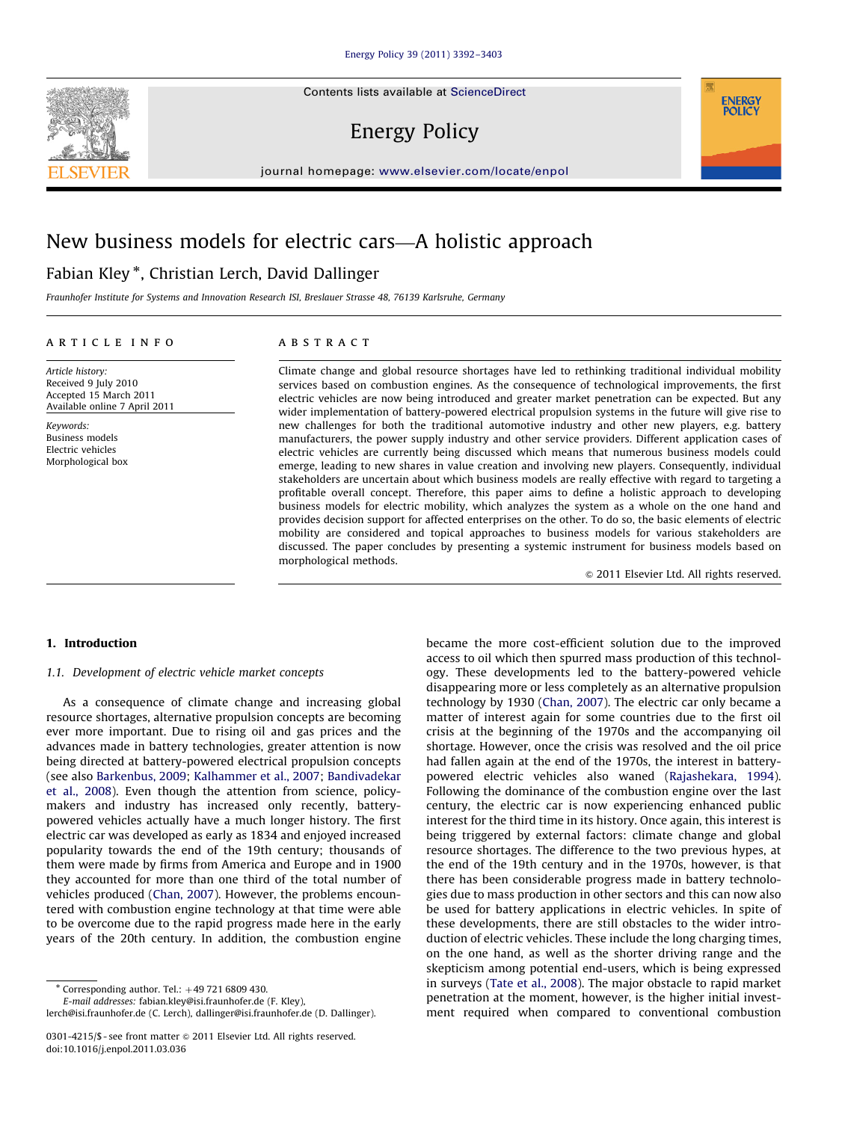Contents lists available at ScienceDirect

# Energy Policy

journal homepage: <www.elsevier.com/locate/enpol>

# New business models for electric cars—A holistic approach

## Fabian Kley  $^\ast$ , Christian Lerch, David Dallinger

Fraunhofer Institute for Systems and Innovation Research ISI, Breslauer Strasse 48, 76139 Karlsruhe, Germany

#### article info

Article history: Received 9 July 2010 Accepted 15 March 2011 Available online 7 April 2011

Keywords: Business models Electric vehicles Morphological box

#### **ABSTRACT**

Climate change and global resource shortages have led to rethinking traditional individual mobility services based on combustion engines. As the consequence of technological improvements, the first electric vehicles are now being introduced and greater market penetration can be expected. But any wider implementation of battery-powered electrical propulsion systems in the future will give rise to new challenges for both the traditional automotive industry and other new players, e.g. battery manufacturers, the power supply industry and other service providers. Different application cases of electric vehicles are currently being discussed which means that numerous business models could emerge, leading to new shares in value creation and involving new players. Consequently, individual stakeholders are uncertain about which business models are really effective with regard to targeting a profitable overall concept. Therefore, this paper aims to define a holistic approach to developing business models for electric mobility, which analyzes the system as a whole on the one hand and provides decision support for affected enterprises on the other. To do so, the basic elements of electric mobility are considered and topical approaches to business models for various stakeholders are discussed. The paper concludes by presenting a systemic instrument for business models based on morphological methods.

 $©$  2011 Elsevier Ltd. All rights reserved.

**ENERGY POLICY** 

## 1. Introduction

### 1.1. Development of electric vehicle market concepts

As a consequence of climate change and increasing global resource shortages, alternative propulsion concepts are becoming ever more important. Due to rising oil and gas prices and the advances made in battery technologies, greater attention is now being directed at battery-powered electrical propulsion concepts (see also [Barkenbus, 2009;](#page--1-0) [Kalhammer et al., 2007](#page--1-0); [Bandivadekar](#page--1-0) [et al., 2008](#page--1-0)). Even though the attention from science, policymakers and industry has increased only recently, batterypowered vehicles actually have a much longer history. The first electric car was developed as early as 1834 and enjoyed increased popularity towards the end of the 19th century; thousands of them were made by firms from America and Europe and in 1900 they accounted for more than one third of the total number of vehicles produced [\(Chan, 2007](#page--1-0)). However, the problems encountered with combustion engine technology at that time were able to be overcome due to the rapid progress made here in the early years of the 20th century. In addition, the combustion engine

 $*$  Corresponding author. Tel.:  $+49$  721 6809 430.

E-mail addresses: [fabian.kley@isi.fraunhofer.de \(F. Kley\),](mailto:fabian.kley@isi.fraunhofer.de)

[lerch@isi.fraunhofer.de \(C. Lerch\),](mailto:lerch@isi.fraunhofer.de) [dallinger@isi.fraunhofer.de \(D. Dallinger\)](mailto:dallinger@isi.fraunhofer.de).

became the more cost-efficient solution due to the improved access to oil which then spurred mass production of this technology. These developments led to the battery-powered vehicle disappearing more or less completely as an alternative propulsion technology by 1930 ([Chan, 2007](#page--1-0)). The electric car only became a matter of interest again for some countries due to the first oil crisis at the beginning of the 1970s and the accompanying oil shortage. However, once the crisis was resolved and the oil price had fallen again at the end of the 1970s, the interest in batterypowered electric vehicles also waned ([Rajashekara, 1994\)](#page--1-0). Following the dominance of the combustion engine over the last century, the electric car is now experiencing enhanced public interest for the third time in its history. Once again, this interest is being triggered by external factors: climate change and global resource shortages. The difference to the two previous hypes, at the end of the 19th century and in the 1970s, however, is that there has been considerable progress made in battery technologies due to mass production in other sectors and this can now also be used for battery applications in electric vehicles. In spite of these developments, there are still obstacles to the wider introduction of electric vehicles. These include the long charging times, on the one hand, as well as the shorter driving range and the skepticism among potential end-users, which is being expressed in surveys ([Tate et al., 2008\)](#page--1-0). The major obstacle to rapid market penetration at the moment, however, is the higher initial investment required when compared to conventional combustion



<sup>0301-4215/\$ -</sup> see front matter  $\odot$  2011 Elsevier Ltd. All rights reserved. doi:[10.1016/j.enpol.2011.03.036](dx.doi.org/10.1016/j.enpol.2011.03.036)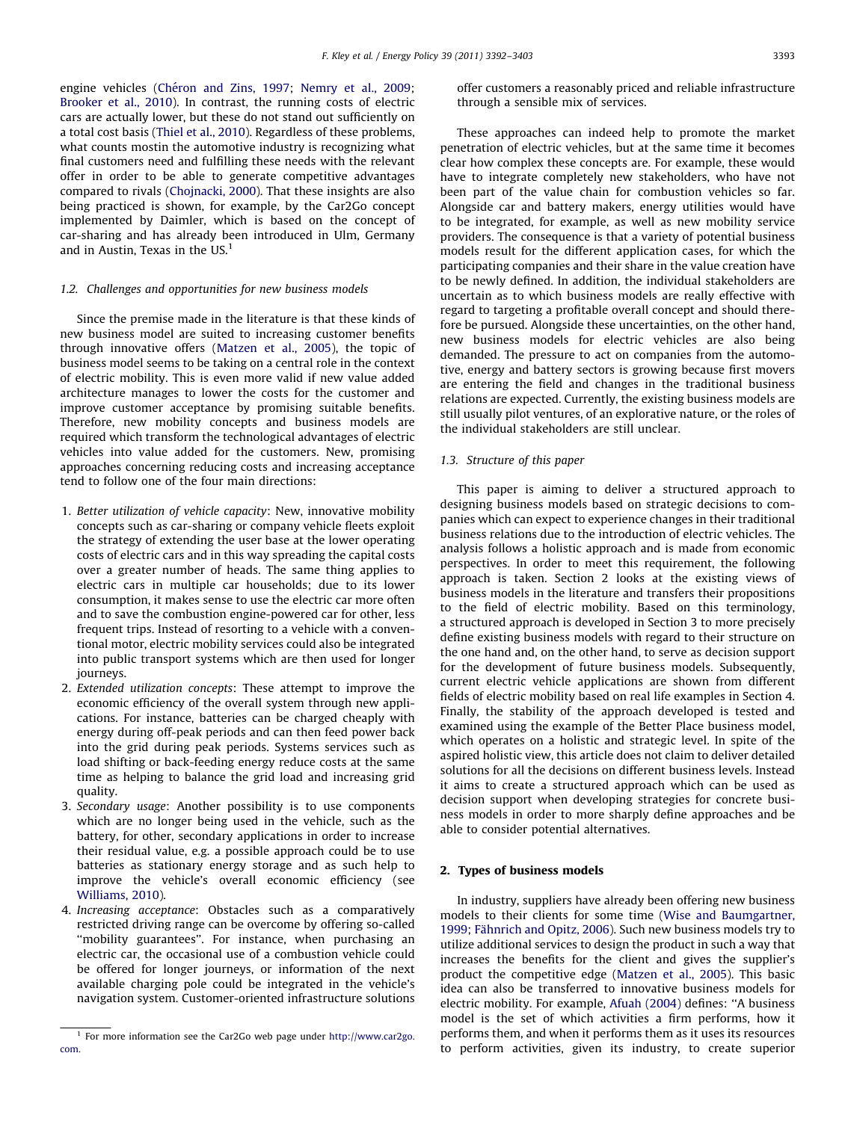engine vehicles (Ché[ron and Zins, 1997;](#page--1-0) [Nemry et al., 2009;](#page--1-0) [Brooker et al., 2010\)](#page--1-0). In contrast, the running costs of electric cars are actually lower, but these do not stand out sufficiently on a total cost basis ([Thiel et al., 2010](#page--1-0)). Regardless of these problems, what counts mostin the automotive industry is recognizing what final customers need and fulfilling these needs with the relevant offer in order to be able to generate competitive advantages compared to rivals [\(Chojnacki, 2000](#page--1-0)). That these insights are also being practiced is shown, for example, by the Car2Go concept implemented by Daimler, which is based on the concept of car-sharing and has already been introduced in Ulm, Germany and in Austin. Texas in the  $US<sup>1</sup>$ 

#### 1.2. Challenges and opportunities for new business models

Since the premise made in the literature is that these kinds of new business model are suited to increasing customer benefits through innovative offers [\(Matzen et al., 2005](#page--1-0)), the topic of business model seems to be taking on a central role in the context of electric mobility. This is even more valid if new value added architecture manages to lower the costs for the customer and improve customer acceptance by promising suitable benefits. Therefore, new mobility concepts and business models are required which transform the technological advantages of electric vehicles into value added for the customers. New, promising approaches concerning reducing costs and increasing acceptance tend to follow one of the four main directions:

- 1. Better utilization of vehicle capacity: New, innovative mobility concepts such as car-sharing or company vehicle fleets exploit the strategy of extending the user base at the lower operating costs of electric cars and in this way spreading the capital costs over a greater number of heads. The same thing applies to electric cars in multiple car households; due to its lower consumption, it makes sense to use the electric car more often and to save the combustion engine-powered car for other, less frequent trips. Instead of resorting to a vehicle with a conventional motor, electric mobility services could also be integrated into public transport systems which are then used for longer journeys.
- 2. Extended utilization concepts: These attempt to improve the economic efficiency of the overall system through new applications. For instance, batteries can be charged cheaply with energy during off-peak periods and can then feed power back into the grid during peak periods. Systems services such as load shifting or back-feeding energy reduce costs at the same time as helping to balance the grid load and increasing grid quality.
- 3. Secondary usage: Another possibility is to use components which are no longer being used in the vehicle, such as the battery, for other, secondary applications in order to increase their residual value, e.g. a possible approach could be to use batteries as stationary energy storage and as such help to improve the vehicle's overall economic efficiency (see [Williams, 2010\)](#page--1-0).
- 4. Increasing acceptance: Obstacles such as a comparatively restricted driving range can be overcome by offering so-called "mobility guarantees". For instance, when purchasing an electric car, the occasional use of a combustion vehicle could be offered for longer journeys, or information of the next available charging pole could be integrated in the vehicle's navigation system. Customer-oriented infrastructure solutions

offer customers a reasonably priced and reliable infrastructure through a sensible mix of services.

These approaches can indeed help to promote the market penetration of electric vehicles, but at the same time it becomes clear how complex these concepts are. For example, these would have to integrate completely new stakeholders, who have not been part of the value chain for combustion vehicles so far. Alongside car and battery makers, energy utilities would have to be integrated, for example, as well as new mobility service providers. The consequence is that a variety of potential business models result for the different application cases, for which the participating companies and their share in the value creation have to be newly defined. In addition, the individual stakeholders are uncertain as to which business models are really effective with regard to targeting a profitable overall concept and should therefore be pursued. Alongside these uncertainties, on the other hand, new business models for electric vehicles are also being demanded. The pressure to act on companies from the automotive, energy and battery sectors is growing because first movers are entering the field and changes in the traditional business relations are expected. Currently, the existing business models are still usually pilot ventures, of an explorative nature, or the roles of the individual stakeholders are still unclear.

#### 1.3. Structure of this paper

This paper is aiming to deliver a structured approach to designing business models based on strategic decisions to companies which can expect to experience changes in their traditional business relations due to the introduction of electric vehicles. The analysis follows a holistic approach and is made from economic perspectives. In order to meet this requirement, the following approach is taken. Section 2 looks at the existing views of business models in the literature and transfers their propositions to the field of electric mobility. Based on this terminology, a structured approach is developed in Section 3 to more precisely define existing business models with regard to their structure on the one hand and, on the other hand, to serve as decision support for the development of future business models. Subsequently, current electric vehicle applications are shown from different fields of electric mobility based on real life examples in Section 4. Finally, the stability of the approach developed is tested and examined using the example of the Better Place business model, which operates on a holistic and strategic level. In spite of the aspired holistic view, this article does not claim to deliver detailed solutions for all the decisions on different business levels. Instead it aims to create a structured approach which can be used as decision support when developing strategies for concrete business models in order to more sharply define approaches and be able to consider potential alternatives.

### 2. Types of business models

In industry, suppliers have already been offering new business models to their clients for some time ([Wise and Baumgartner,](#page--1-0) [1999;](#page--1-0) Fähnrich and Opitz, 2006). Such new business models try to utilize additional services to design the product in such a way that increases the benefits for the client and gives the supplier's product the competitive edge [\(Matzen et al., 2005](#page--1-0)). This basic idea can also be transferred to innovative business models for electric mobility. For example, [Afuah \(2004\)](#page--1-0) defines: ''A business model is the set of which activities a firm performs, how it performs them, and when it performs them as it uses its resources to perform activities, given its industry, to create superior

 $^{\rm 1}$  For more information see the Car2Go web page under [http://www.car2go.](http://www.car2go.com) [com.](http://www.car2go.com)